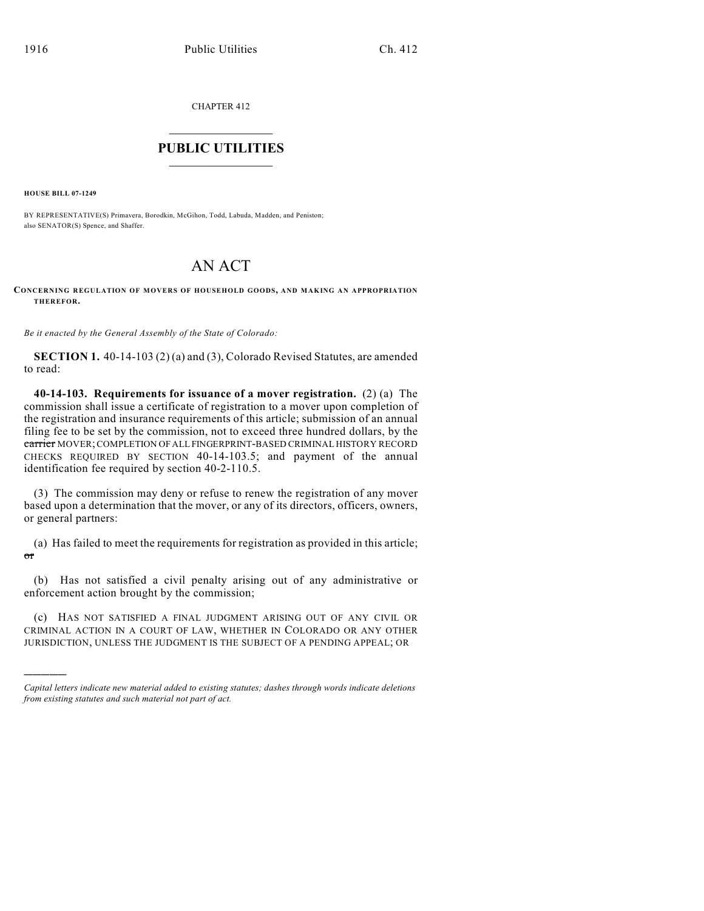CHAPTER 412

## $\overline{\phantom{a}}$  . The set of the set of the set of the set of the set of the set of the set of the set of the set of the set of the set of the set of the set of the set of the set of the set of the set of the set of the set o **PUBLIC UTILITIES** \_\_\_\_\_\_\_\_\_\_\_\_\_\_\_

**HOUSE BILL 07-1249**

)))))

BY REPRESENTATIVE(S) Primavera, Borodkin, McGihon, Todd, Labuda, Madden, and Peniston; also SENATOR(S) Spence, and Shaffer.

## AN ACT

**CONCERNING REGULATION OF MOVERS OF HOUSEHOLD GOODS, AND MAKING AN APPROPRIATION THEREFOR.**

*Be it enacted by the General Assembly of the State of Colorado:*

**SECTION 1.** 40-14-103 (2) (a) and (3), Colorado Revised Statutes, are amended to read:

**40-14-103. Requirements for issuance of a mover registration.** (2) (a) The commission shall issue a certificate of registration to a mover upon completion of the registration and insurance requirements of this article; submission of an annual filing fee to be set by the commission, not to exceed three hundred dollars, by the carrier MOVER; COMPLETION OF ALL FINGERPRINT-BASED CRIMINAL HISTORY RECORD CHECKS REQUIRED BY SECTION 40-14-103.5; and payment of the annual identification fee required by section 40-2-110.5.

(3) The commission may deny or refuse to renew the registration of any mover based upon a determination that the mover, or any of its directors, officers, owners, or general partners:

(a) Has failed to meet the requirements for registration as provided in this article; or

(b) Has not satisfied a civil penalty arising out of any administrative or enforcement action brought by the commission;

(c) HAS NOT SATISFIED A FINAL JUDGMENT ARISING OUT OF ANY CIVIL OR CRIMINAL ACTION IN A COURT OF LAW, WHETHER IN COLORADO OR ANY OTHER JURISDICTION, UNLESS THE JUDGMENT IS THE SUBJECT OF A PENDING APPEAL; OR

*Capital letters indicate new material added to existing statutes; dashes through words indicate deletions from existing statutes and such material not part of act.*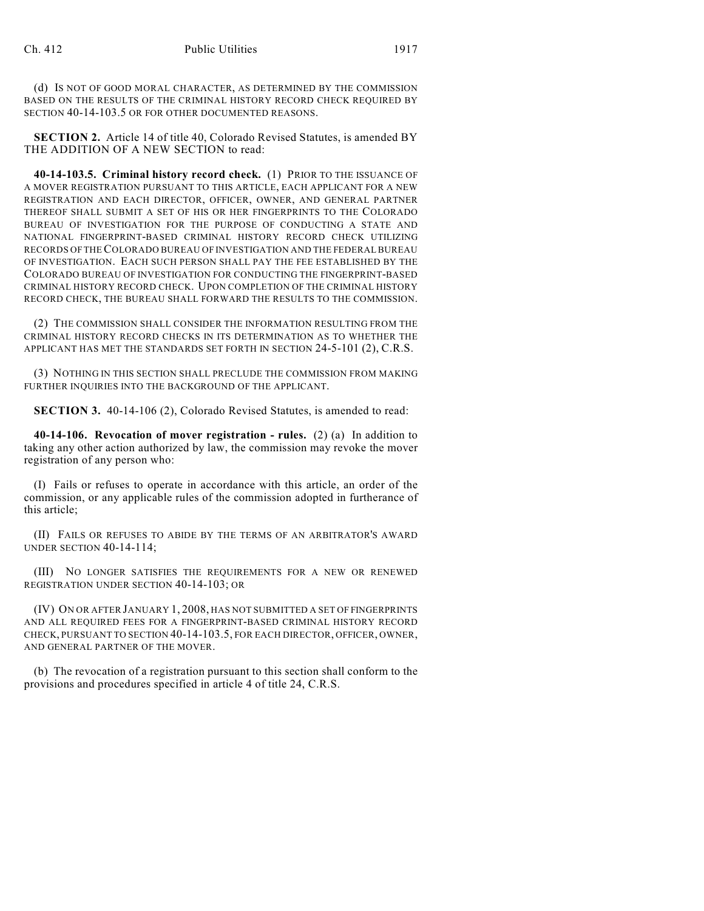(d) IS NOT OF GOOD MORAL CHARACTER, AS DETERMINED BY THE COMMISSION BASED ON THE RESULTS OF THE CRIMINAL HISTORY RECORD CHECK REQUIRED BY SECTION 40-14-103.5 OR FOR OTHER DOCUMENTED REASONS.

**SECTION 2.** Article 14 of title 40, Colorado Revised Statutes, is amended BY THE ADDITION OF A NEW SECTION to read:

**40-14-103.5. Criminal history record check.** (1) PRIOR TO THE ISSUANCE OF A MOVER REGISTRATION PURSUANT TO THIS ARTICLE, EACH APPLICANT FOR A NEW REGISTRATION AND EACH DIRECTOR, OFFICER, OWNER, AND GENERAL PARTNER THEREOF SHALL SUBMIT A SET OF HIS OR HER FINGERPRINTS TO THE COLORADO BUREAU OF INVESTIGATION FOR THE PURPOSE OF CONDUCTING A STATE AND NATIONAL FINGERPRINT-BASED CRIMINAL HISTORY RECORD CHECK UTILIZING RECORDS OF THE COLORADO BUREAU OF INVESTIGATION AND THE FEDERAL BUREAU OF INVESTIGATION. EACH SUCH PERSON SHALL PAY THE FEE ESTABLISHED BY THE COLORADO BUREAU OF INVESTIGATION FOR CONDUCTING THE FINGERPRINT-BASED CRIMINAL HISTORY RECORD CHECK. UPON COMPLETION OF THE CRIMINAL HISTORY RECORD CHECK, THE BUREAU SHALL FORWARD THE RESULTS TO THE COMMISSION.

(2) THE COMMISSION SHALL CONSIDER THE INFORMATION RESULTING FROM THE CRIMINAL HISTORY RECORD CHECKS IN ITS DETERMINATION AS TO WHETHER THE APPLICANT HAS MET THE STANDARDS SET FORTH IN SECTION 24-5-101 (2), C.R.S.

(3) NOTHING IN THIS SECTION SHALL PRECLUDE THE COMMISSION FROM MAKING FURTHER INQUIRIES INTO THE BACKGROUND OF THE APPLICANT.

**SECTION 3.** 40-14-106 (2), Colorado Revised Statutes, is amended to read:

**40-14-106. Revocation of mover registration - rules.** (2) (a) In addition to taking any other action authorized by law, the commission may revoke the mover registration of any person who:

(I) Fails or refuses to operate in accordance with this article, an order of the commission, or any applicable rules of the commission adopted in furtherance of this article;

(II) FAILS OR REFUSES TO ABIDE BY THE TERMS OF AN ARBITRATOR'S AWARD UNDER SECTION 40-14-114;

(III) NO LONGER SATISFIES THE REQUIREMENTS FOR A NEW OR RENEWED REGISTRATION UNDER SECTION 40-14-103; OR

(IV) ON OR AFTER JANUARY 1, 2008, HAS NOT SUBMITTED A SET OF FINGERPRINTS AND ALL REQUIRED FEES FOR A FINGERPRINT-BASED CRIMINAL HISTORY RECORD CHECK, PURSUANT TO SECTION 40-14-103.5, FOR EACH DIRECTOR, OFFICER, OWNER, AND GENERAL PARTNER OF THE MOVER.

(b) The revocation of a registration pursuant to this section shall conform to the provisions and procedures specified in article 4 of title 24, C.R.S.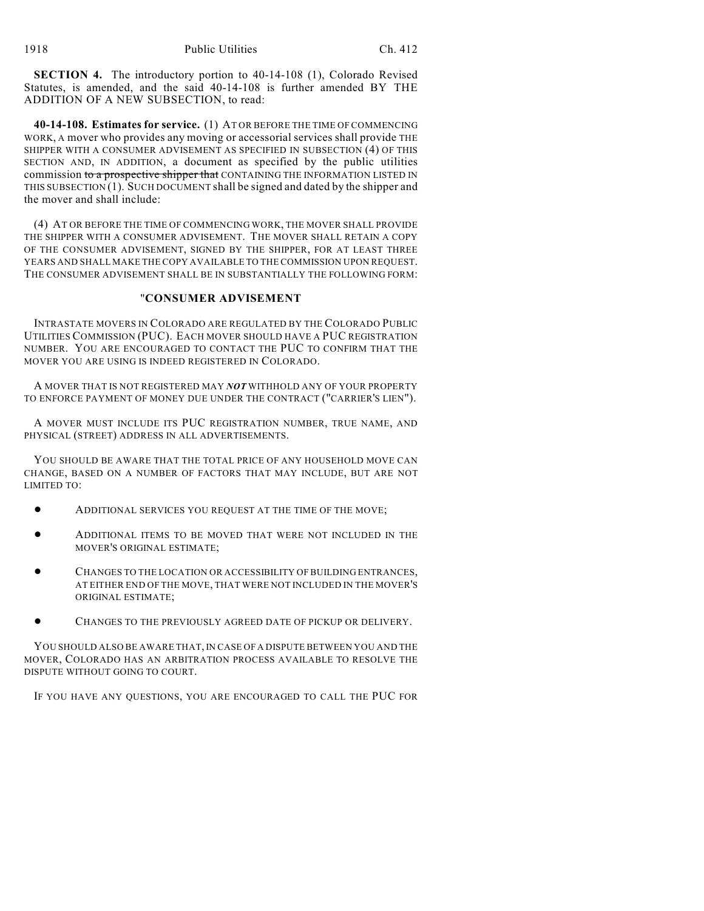**SECTION 4.** The introductory portion to 40-14-108 (1), Colorado Revised Statutes, is amended, and the said 40-14-108 is further amended BY THE ADDITION OF A NEW SUBSECTION, to read:

**40-14-108. Estimates for service.** (1) AT OR BEFORE THE TIME OF COMMENCING WORK, A mover who provides any moving or accessorial services shall provide THE SHIPPER WITH A CONSUMER ADVISEMENT AS SPECIFIED IN SUBSECTION (4) OF THIS SECTION AND, IN ADDITION, a document as specified by the public utilities commission to a prospective shipper that CONTAINING THE INFORMATION LISTED IN THIS SUBSECTION (1). SUCH DOCUMENT shall be signed and dated by the shipper and the mover and shall include:

(4) AT OR BEFORE THE TIME OF COMMENCING WORK, THE MOVER SHALL PROVIDE THE SHIPPER WITH A CONSUMER ADVISEMENT. THE MOVER SHALL RETAIN A COPY OF THE CONSUMER ADVISEMENT, SIGNED BY THE SHIPPER, FOR AT LEAST THREE YEARS AND SHALL MAKE THE COPY AVAILABLE TO THE COMMISSION UPON REQUEST. THE CONSUMER ADVISEMENT SHALL BE IN SUBSTANTIALLY THE FOLLOWING FORM:

## "**CONSUMER ADVISEMENT**

INTRASTATE MOVERS IN COLORADO ARE REGULATED BY THE COLORADO PUBLIC UTILITIES COMMISSION (PUC). EACH MOVER SHOULD HAVE A PUC REGISTRATION NUMBER. YOU ARE ENCOURAGED TO CONTACT THE PUC TO CONFIRM THAT THE MOVER YOU ARE USING IS INDEED REGISTERED IN COLORADO.

A MOVER THAT IS NOT REGISTERED MAY *NOT* WITHHOLD ANY OF YOUR PROPERTY TO ENFORCE PAYMENT OF MONEY DUE UNDER THE CONTRACT ("CARRIER'S LIEN").

A MOVER MUST INCLUDE ITS PUC REGISTRATION NUMBER, TRUE NAME, AND PHYSICAL (STREET) ADDRESS IN ALL ADVERTISEMENTS.

YOU SHOULD BE AWARE THAT THE TOTAL PRICE OF ANY HOUSEHOLD MOVE CAN CHANGE, BASED ON A NUMBER OF FACTORS THAT MAY INCLUDE, BUT ARE NOT LIMITED TO:

- ! ADDITIONAL SERVICES YOU REQUEST AT THE TIME OF THE MOVE;
- ! ADDITIONAL ITEMS TO BE MOVED THAT WERE NOT INCLUDED IN THE MOVER'S ORIGINAL ESTIMATE;
- ! CHANGES TO THE LOCATION OR ACCESSIBILITY OF BUILDING ENTRANCES, AT EITHER END OF THE MOVE, THAT WERE NOT INCLUDED IN THE MOVER'S ORIGINAL ESTIMATE;
- CHANGES TO THE PREVIOUSLY AGREED DATE OF PICKUP OR DELIVERY.

YOU SHOULD ALSO BE AWARE THAT, IN CASE OF A DISPUTE BETWEEN YOU AND THE MOVER, COLORADO HAS AN ARBITRATION PROCESS AVAILABLE TO RESOLVE THE DISPUTE WITHOUT GOING TO COURT.

IF YOU HAVE ANY QUESTIONS, YOU ARE ENCOURAGED TO CALL THE PUC FOR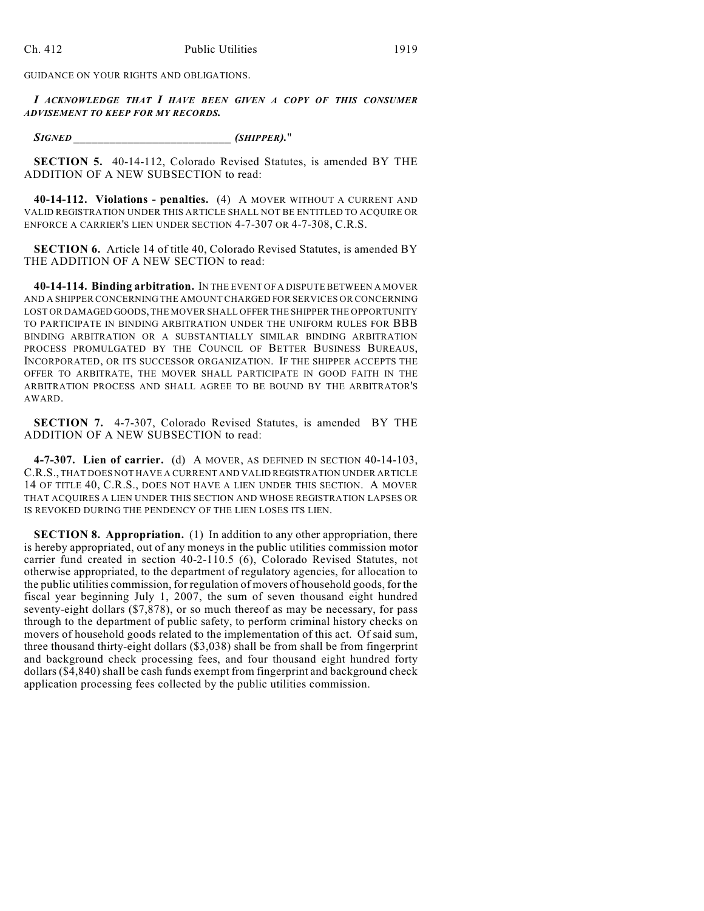GUIDANCE ON YOUR RIGHTS AND OBLIGATIONS.

*I ACKNOWLEDGE THAT I HAVE BEEN GIVEN A COPY OF THIS CONSUMER ADVISEMENT TO KEEP FOR MY RECORDS.*

*SIGNED \_\_\_\_\_\_\_\_\_\_\_\_\_\_\_\_\_\_\_\_\_\_\_\_\_\_ (SHIPPER).*"

**SECTION 5.** 40-14-112, Colorado Revised Statutes, is amended BY THE ADDITION OF A NEW SUBSECTION to read:

**40-14-112. Violations - penalties.** (4) A MOVER WITHOUT A CURRENT AND VALID REGISTRATION UNDER THIS ARTICLE SHALL NOT BE ENTITLED TO ACQUIRE OR ENFORCE A CARRIER'S LIEN UNDER SECTION 4-7-307 OR 4-7-308, C.R.S.

**SECTION 6.** Article 14 of title 40, Colorado Revised Statutes, is amended BY THE ADDITION OF A NEW SECTION to read:

**40-14-114. Binding arbitration.** IN THE EVENT OF A DISPUTE BETWEEN A MOVER AND A SHIPPER CONCERNING THE AMOUNT CHARGED FOR SERVICES OR CONCERNING LOST OR DAMAGED GOODS, THE MOVER SHALL OFFER THE SHIPPER THE OPPORTUNITY TO PARTICIPATE IN BINDING ARBITRATION UNDER THE UNIFORM RULES FOR BBB BINDING ARBITRATION OR A SUBSTANTIALLY SIMILAR BINDING ARBITRATION PROCESS PROMULGATED BY THE COUNCIL OF BETTER BUSINESS BUREAUS, INCORPORATED, OR ITS SUCCESSOR ORGANIZATION. IF THE SHIPPER ACCEPTS THE OFFER TO ARBITRATE, THE MOVER SHALL PARTICIPATE IN GOOD FAITH IN THE ARBITRATION PROCESS AND SHALL AGREE TO BE BOUND BY THE ARBITRATOR'S AWARD.

**SECTION 7.** 4-7-307, Colorado Revised Statutes, is amended BY THE ADDITION OF A NEW SUBSECTION to read:

**4-7-307. Lien of carrier.** (d) A MOVER, AS DEFINED IN SECTION 40-14-103, C.R.S., THAT DOES NOT HAVE A CURRENT AND VALID REGISTRATION UNDER ARTICLE 14 OF TITLE 40, C.R.S., DOES NOT HAVE A LIEN UNDER THIS SECTION. A MOVER THAT ACQUIRES A LIEN UNDER THIS SECTION AND WHOSE REGISTRATION LAPSES OR IS REVOKED DURING THE PENDENCY OF THE LIEN LOSES ITS LIEN.

**SECTION 8. Appropriation.** (1) In addition to any other appropriation, there is hereby appropriated, out of any moneys in the public utilities commission motor carrier fund created in section 40-2-110.5 (6), Colorado Revised Statutes, not otherwise appropriated, to the department of regulatory agencies, for allocation to the public utilities commission, for regulation of movers of household goods, for the fiscal year beginning July 1, 2007, the sum of seven thousand eight hundred seventy-eight dollars (\$7,878), or so much thereof as may be necessary, for pass through to the department of public safety, to perform criminal history checks on movers of household goods related to the implementation of this act. Of said sum, three thousand thirty-eight dollars (\$3,038) shall be from shall be from fingerprint and background check processing fees, and four thousand eight hundred forty dollars (\$4,840) shall be cash funds exempt from fingerprint and background check application processing fees collected by the public utilities commission.